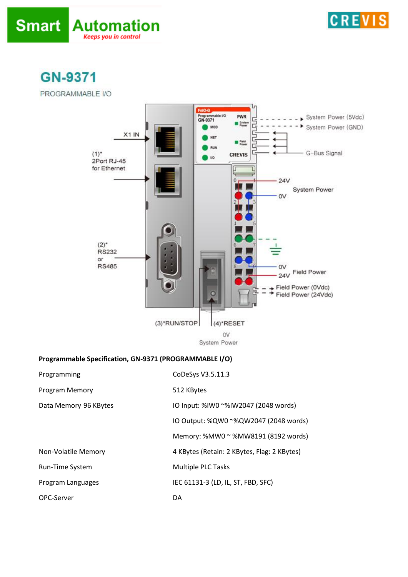



## **GN-9371**

PROGRAMMABLE I/O



## **Programmable Specification, GN-9371 (PROGRAMMABLE I/O)**

| Programming           | CoDeSys V3.5.11.3                           |
|-----------------------|---------------------------------------------|
| Program Memory        | 512 KBytes                                  |
| Data Memory 96 KBytes | IO Input: %IW0 ~%IW2047 (2048 words)        |
|                       | IO Output: %QW0 ~%QW2047 (2048 words)       |
|                       | Memory: %MW0 ~ %MW8191 (8192 words)         |
| Non-Volatile Memory   | 4 KBytes (Retain: 2 KBytes, Flag: 2 KBytes) |
| Run-Time System       | <b>Multiple PLC Tasks</b>                   |
| Program Languages     | IEC 61131-3 (LD, IL, ST, FBD, SFC)          |
| OPC-Server            | DA                                          |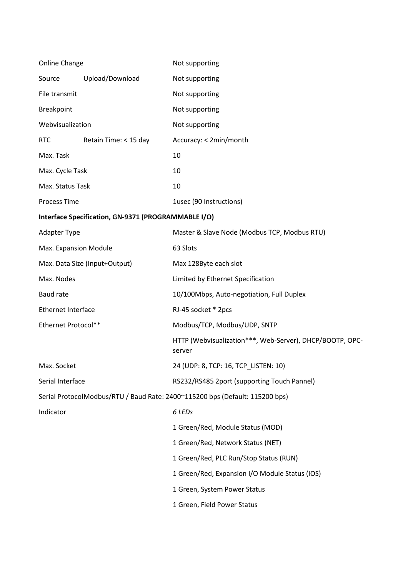| Online Change             |                                                     | Not supporting                                                               |
|---------------------------|-----------------------------------------------------|------------------------------------------------------------------------------|
| Source                    | Upload/Download                                     | Not supporting                                                               |
| File transmit             |                                                     | Not supporting                                                               |
| Breakpoint                |                                                     | Not supporting                                                               |
| Webvisualization          |                                                     | Not supporting                                                               |
| <b>RTC</b>                | Retain Time: < 15 day                               | Accuracy: < 2min/month                                                       |
| Max. Task                 |                                                     | 10                                                                           |
| Max. Cycle Task           |                                                     | 10                                                                           |
| Max. Status Task          |                                                     | 10                                                                           |
| <b>Process Time</b>       |                                                     | 1usec (90 Instructions)                                                      |
|                           | Interface Specification, GN-9371 (PROGRAMMABLE I/O) |                                                                              |
| Adapter Type              |                                                     | Master & Slave Node (Modbus TCP, Modbus RTU)                                 |
|                           | Max. Expansion Module                               | 63 Slots                                                                     |
|                           | Max. Data Size (Input+Output)                       | Max 128Byte each slot                                                        |
| Max. Nodes                |                                                     | Limited by Ethernet Specification                                            |
| <b>Baud rate</b>          |                                                     | 10/100Mbps, Auto-negotiation, Full Duplex                                    |
| <b>Ethernet Interface</b> |                                                     | RJ-45 socket * 2pcs                                                          |
| Ethernet Protocol**       |                                                     | Modbus/TCP, Modbus/UDP, SNTP                                                 |
|                           |                                                     | HTTP (Webvisualization***, Web-Server), DHCP/BOOTP, OPC-<br>server           |
| Max. Socket               |                                                     | 24 (UDP: 8, TCP: 16, TCP LISTEN: 10)                                         |
| Serial Interface          |                                                     | RS232/RS485 2port (supporting Touch Pannel)                                  |
|                           |                                                     | Serial ProtocolModbus/RTU / Baud Rate: 2400~115200 bps (Default: 115200 bps) |
| Indicator                 |                                                     | 6 LEDs                                                                       |
|                           |                                                     | 1 Green/Red, Module Status (MOD)                                             |
|                           |                                                     | 1 Green/Red, Network Status (NET)                                            |
|                           |                                                     | 1 Green/Red, PLC Run/Stop Status (RUN)                                       |
|                           |                                                     | 1 Green/Red, Expansion I/O Module Status (IOS)                               |
|                           |                                                     | 1 Green, System Power Status                                                 |
|                           |                                                     | 1 Green, Field Power Status                                                  |